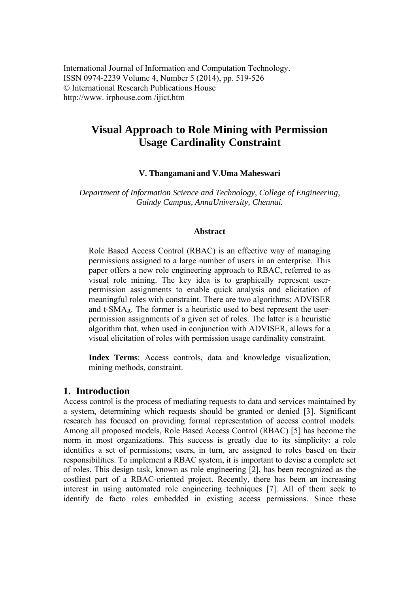# **Visual Approach to Role Mining with Permission Usage Cardinality Constraint**

# **V. Thangamani and V.Uma Maheswari**

*Department of Information Science and Technology, College of Engineering, Guindy Campus, AnnaUniversity, Chennai.* 

## **Abstract**

Role Based Access Control (RBAC) is an effective way of managing permissions assigned to a large number of users in an enterprise. This paper offers a new role engineering approach to RBAC, referred to as visual role mining. The key idea is to graphically represent userpermission assignments to enable quick analysis and elicitation of meaningful roles with constraint. There are two algorithms: ADVISER and t-SMAR. The former is a heuristic used to best represent the userpermission assignments of a given set of roles. The latter is a heuristic algorithm that, when used in conjunction with ADVISER, allows for a visual elicitation of roles with permission usage cardinality constraint.

**Index Terms**: Access controls, data and knowledge visualization, mining methods, constraint.

# **1. Introduction**

Access control is the process of mediating requests to data and services maintained by a system, determining which requests should be granted or denied [3]. Significant research has focused on providing formal representation of access control models. Among all proposed models, Role Based Access Control (RBAC) [5] has become the norm in most organizations. This success is greatly due to its simplicity: a role identifies a set of permissions; users, in turn, are assigned to roles based on their responsibilities. To implement a RBAC system, it is important to devise a complete set of roles. This design task, known as role engineering [2], has been recognized as the costliest part of a RBAC-oriented project. Recently, there has been an increasing interest in using automated role engineering techniques [7]. All of them seek to identify de facto roles embedded in existing access permissions. Since these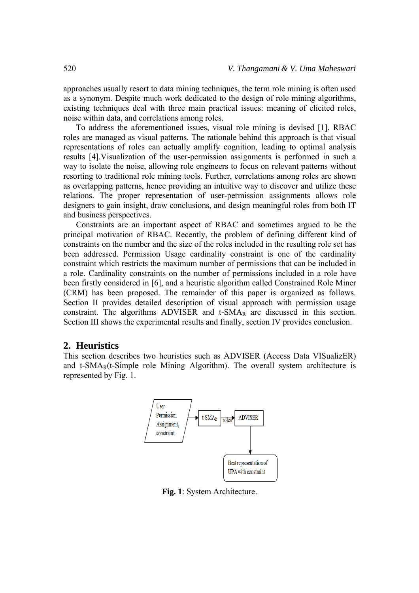approaches usually resort to data mining techniques, the term role mining is often used as a synonym. Despite much work dedicated to the design of role mining algorithms, existing techniques deal with three main practical issues: meaning of elicited roles, noise within data, and correlations among roles.

To address the aforementioned issues, visual role mining is devised [1]. RBAC roles are managed as visual patterns. The rationale behind this approach is that visual representations of roles can actually amplify cognition, leading to optimal analysis results [4].Visualization of the user-permission assignments is performed in such a way to isolate the noise, allowing role engineers to focus on relevant patterns without resorting to traditional role mining tools. Further, correlations among roles are shown as overlapping patterns, hence providing an intuitive way to discover and utilize these relations. The proper representation of user-permission assignments allows role designers to gain insight, draw conclusions, and design meaningful roles from both IT and business perspectives.

Constraints are an important aspect of RBAC and sometimes argued to be the principal motivation of RBAC. Recently, the problem of defining different kind of constraints on the number and the size of the roles included in the resulting role set has been addressed. Permission Usage cardinality constraint is one of the cardinality constraint which restricts the maximum number of permissions that can be included in a role. Cardinality constraints on the number of permissions included in a role have been firstly considered in [6], and a heuristic algorithm called Constrained Role Miner (CRM) has been proposed. The remainder of this paper is organized as follows. Section II provides detailed description of visual approach with permission usage constraint. The algorithms ADVISER and  $t$ -SMA<sub>R</sub> are discussed in this section. Section III shows the experimental results and finally, section IV provides conclusion.

#### **2. Heuristics**

This section describes two heuristics such as ADVISER (Access Data VISualizER) and  $t-SMA<sub>R</sub>(t-Simple role Mining Algorithm)$ . The overall system architecture is represented by Fig. 1.



**Fig. 1**: System Architecture.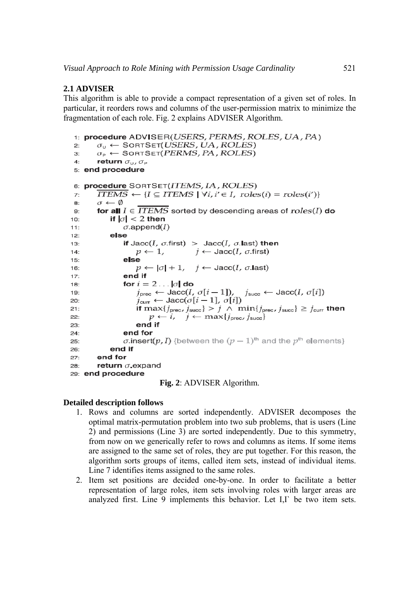## **2.1 ADVISER**

This algorithm is able to provide a compact representation of a given set of roles. In particular, it reorders rows and columns of the user-permission matrix to minimize the fragmentation of each role. Fig. 2 explains ADVISER Algorithm.

```
1: procedure ADVISER(USERS, PERMS, ROLES, UA, PA)
つ・
```

```
\sigma_{\rm U} \leftarrow SORTSET(USERS, UA, ROLES)
        \sigma_{\rm P} \leftarrow SORTSET(PERMS, PA, ROLES)
\mathbf{R}
```

```
4:return \sigma_{\rm u}, \sigma_{\rm p}
```

```
5: end procedure
```

```
6: procedure SORTSET(ITEMS, IA, ROLES)
```

```
\overline{ITEMS} \leftarrow \{I \subseteq ITEMS \mid \forall i, i' \in I, roles(i) = roles(i')\}\overline{7}8 -\sigma \leftarrow \emptysetfor all I \in \overline{ITEMS} sorted by descending areas of roles(I) do
 9:if |\sigma| < 2 then
10:\sigma.append(I)
11:else
12:if Jacc(I, \sigma.first) > Jacc(I, \sigma.last) then
13:p \leftarrow 1,
                                               j \leftarrow \text{Jacc}(I, \sigma \text{.first})14:else
15:p \leftarrow |\sigma| + 1, j \leftarrow \text{Jac}(I, \sigma.\text{last})16:17:end if
                      for i = 2 \ldots |\sigma| do
18:j_{\text{prec}} \leftarrow \text{Jac}(I, \sigma[i-1]), \quad j_{\text{succ}} \leftarrow \text{Jac}(I, \sigma[i])19:20:j_{\text{curr}} \leftarrow \text{Jacc}(\sigma[i-1], \sigma[i])if \max\{j_{\text{prec}}, j_{\text{succ}}\} > j \land \min\{j_{\text{prec}}, j_{\text{succ}}\} \ge j_{\text{curr}} then
21:p \leftarrow i, j \leftarrow max\{j_{\text{prec}}, j_{\text{succ}}\}22:end if
23:end for
24\sigma insert(p, I) {between the (p-1)<sup>th</sup> and the p^{\text{th}} elements}
25:end if
26:
           end for
27:return \sigma expand
28:29: end procedure
```

```
Fig. 2: ADVISER Algorithm.
```
## **Detailed description follows**

- 1. Rows and columns are sorted independently. ADVISER decomposes the optimal matrix-permutation problem into two sub problems, that is users (Line 2) and permissions (Line 3) are sorted independently. Due to this symmetry, from now on we generically refer to rows and columns as items. If some items are assigned to the same set of roles, they are put together. For this reason, the algorithm sorts groups of items, called item sets, instead of individual items. Line 7 identifies items assigned to the same roles.
- 2. Item set positions are decided one-by-one. In order to facilitate a better representation of large roles, item sets involving roles with larger areas are analyzed first. Line 9 implements this behavior. Let I,I` be two item sets.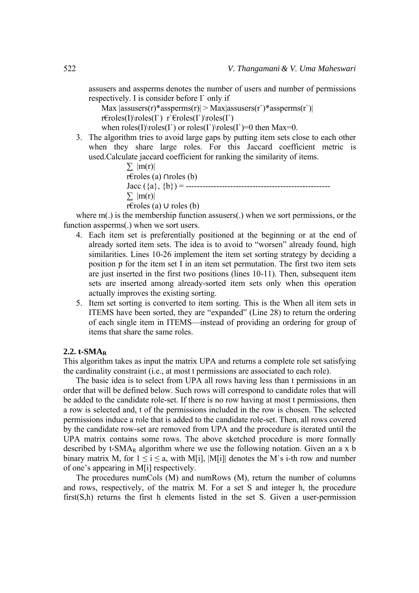assusers and assperms denotes the number of users and number of permissions respectively. I is consider before  $\Gamma$  only if

Max  $|$ assusers(r)\*assperms(r) $|$  > Max $|$ assusers(r`)\*assperms(r`) $|$  $r\in(I)\r\,erfc(s(I))\r\in(I')\r\in(I')\r\,erfc(s(I'))\r\,erfc(s(I'))\r\,erfc(s(I'))\r\,erfc(s(I'))\r\,erfc(s(I'))\r\,erfc(s(I'))\r\,erfc(s(I'))\r\,erfc(s(I'))\r\,erfc(s(I'))\r\,erfc(s(I'))\r\,erfc(s(I'))\r\,erfc(s(I'))\r\,erfc(s(I'))\r\,erfc(s(I'))\r\,erfc(s(I'))\r\,erfc(s(I'))\r\,erfc(s(I'))\r\,erfc(s(I'))\r\,erfc(s(I'))\r\,erfc(s(I'))\r\,erfc(s(I'))\r\,erfc$ 

- when roles(I)\roles(I`) or roles(I`)\roles(I`)=0 then Max=0.
- 3. The algorithm tries to avoid large gaps by putting item sets close to each other when they share large roles. For this Jaccard coefficient metric is used.Calculate jaccard coefficient for ranking the similarity of items.

```
\sum |m(r)|r\epsilonroles (a) \Lambdaroles (b)
Jacc ({a}, {b}) = ---------------------------------------------------- 
\sum |m(r)|r\epsilonroles (a) \cup roles (b)
```
where m(.) is the membership function assusers(.) when we sort permissions, or the function assperms(.) when we sort users.

- 4. Each item set is preferentially positioned at the beginning or at the end of already sorted item sets. The idea is to avoid to "worsen" already found, high similarities. Lines 10-26 implement the item set sorting strategy by deciding a position p for the item set I in an item set permutation. The first two item sets are just inserted in the first two positions (lines 10-11). Then, subsequent item sets are inserted among already-sorted item sets only when this operation actually improves the existing sorting.
- 5. Item set sorting is converted to item sorting. This is the When all item sets in ITEMS have been sorted, they are "expanded" (Line 28) to return the ordering of each single item in ITEMS—instead of providing an ordering for group of items that share the same roles.

#### **2.2. t-SMAR**

This algorithm takes as input the matrix UPA and returns a complete role set satisfying the cardinality constraint (i.e., at most t permissions are associated to each role).

The basic idea is to select from UPA all rows having less than t permissions in an order that will be defined below. Such rows will correspond to candidate roles that will be added to the candidate role-set. If there is no row having at most t permissions, then a row is selected and, t of the permissions included in the row is chosen. The selected permissions induce a role that is added to the candidate role-set. Then, all rows covered by the candidate row-set are removed from UPA and the procedure is iterated until the UPA matrix contains some rows. The above sketched procedure is more formally described by t-SMA<sub>R</sub> algorithm where we use the following notation. Given an a x b binary matrix M, for  $1 \le i \le a$ , with M[i], |M[i]| denotes the M`s i-th row and number of one's appearing in M[i] respectively.

The procedures numCols (M) and numRows (M), return the number of columns and rows, respectively, of the matrix M. For a set S and integer h, the procedure first(S,h) returns the first h elements listed in the set S. Given a user-permission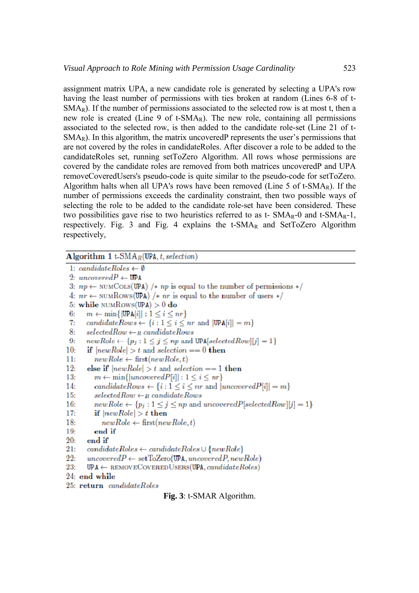assignment matrix UPA, a new candidate role is generated by selecting a UPA's row having the least number of permissions with ties broken at random (Lines 6-8 of t- $SMA<sub>R</sub>$ ). If the number of permissions associated to the selected row is at most t, then a new role is created (Line 9 of t-SMA<sub>R</sub>). The new role, containing all permissions associated to the selected row, is then added to the candidate role-set (Line 21 of t- $SMA<sub>R</sub>$ ). In this algorithm, the matrix uncoveredP represents the user's permissions that are not covered by the roles in candidateRoles. After discover a role to be added to the candidateRoles set, running setToZero Algorithm. All rows whose permissions are covered by the candidate roles are removed from both matrices uncoveredP and UPA removeCoveredUsers's pseudo-code is quite similar to the pseudo-code for setToZero. Algorithm halts when all UPA's rows have been removed (Line 5 of t- $SMA_R$ ). If the number of permissions exceeds the cardinality constraint, then two possible ways of selecting the role to be added to the candidate role-set have been considered. These two possibilities gave rise to two heuristics referred to as  $t$ -  $SMA<sub>R</sub>$ -0 and  $t-SMA<sub>R</sub>$ -1, respectively. Fig. 3 and Fig. 4 explains the  $t-SMA<sub>R</sub>$  and  $SetToZero$  Algorithm respectively,

#### Algorithm 1 t-SMA<sub>R</sub>(UPA, t, selection)

```
1: candidateRoles \leftarrow \emptyset2: uncovered P \leftarrow \text{UPA}3: np \leftarrow \text{NUMCOLS}(\text{UPA}) /* np is equal to the number of permissions */
 4: nr \leftarrow \text{NUMRows}(\text{UPA}) /* nr is equal to the number of users */
 5: while NUMROWS(UPA) > 0 do
       m \leftarrow \min\{|\text{UPA}[i]| : 1 \leq i \leq nr\}\theta7.
       candidateRows \leftarrow \{i : 1 \leq i \leq nr \text{ and } |\text{UPA}[i]| = m\}8:selectedRow \leftarrow_R candidateRows9<sub>1</sub>newRole \leftarrow \{p_j : 1 \leq j \leq np \text{ and } \text{UPA}[selectedRow][j] = 1\}10<sub>i</sub>if |newRole| > t and selection == 0 then
11:newRole \leftarrow first(newRole, t)12:else if |newRole| > t and selection == 1 then
13:m \leftarrow \min\{ |uncoveredP[i]| : 1 \leq i \leq nr \}14:candidateRows \leftarrow \{i : 1 \leq i \leq nr \text{ and } |uncoveredP[i]| = m\}15:selectedRow \leftarrow R \ candidateRows16:newRole \leftarrow \{p_i : 1 \leq j \leq np \text{ and uncovered} P[selectedRow][j] = 1\}17:if |newRole| > t then
18<sub>1</sub>newRole \leftarrow \text{first}(newRole, t)19<sub>1</sub>end if
20:end if
21:candidateRobes \leftarrow candidateRobes \cup \{newRoble\}22:uncoveredP \leftarrow setToZero(\texttt{UPA}, uncoveredP, new Role)23:
        UPA \leftarrow REMOVECOVEREDUSERS(UPA, candidate Roles)
24: end while
25: return candidateRoles
                                     Fig. 3: t-SMAR Algorithm.
```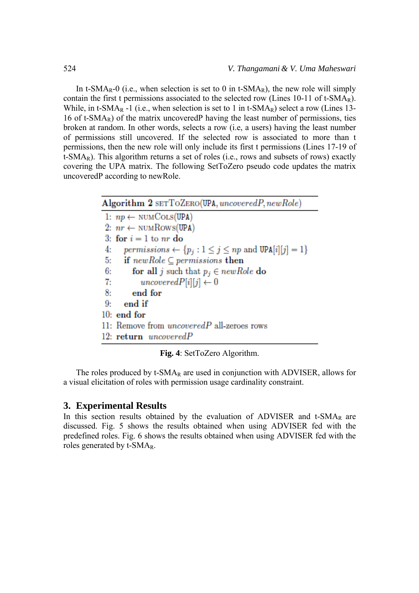In t-SMA<sub>R</sub>-0 (i.e., when selection is set to 0 in t-SMA<sub>R</sub>), the new role will simply contain the first t permissions associated to the selected row (Lines 10-11 of t-SMA<sub>R</sub>). While, in t-SMA<sub>R</sub> -1 (i.e., when selection is set to 1 in t-SMA<sub>R</sub>) select a row (Lines 13-16 of t-SMA<sub>R</sub>) of the matrix uncoveredP having the least number of permissions, ties broken at random. In other words, selects a row (i.e, a users) having the least number of permissions still uncovered. If the selected row is associated to more than t permissions, then the new role will only include its first t permissions (Lines 17-19 of t-SMA<sub>R</sub>). This algorithm returns a set of roles (i.e., rows and subsets of rows) exactly covering the UPA matrix. The following SetToZero pseudo code updates the matrix uncoveredP according to newRole.

> Algorithm 2 SETTOZERO(UPA, uncoveredP, newRole) 1:  $np \leftarrow \text{NUMCOLS}(\text{UPA})$ 2:  $nr \leftarrow \text{NUMRows}(\text{UPA})$ 3: for  $i = 1$  to nr do permissions  $\leftarrow \{p_j : 1 \leq j \leq np \text{ and } \text{UPA}[i][j] = 1\}$  $4:$ if  $newRole \subseteq permissions$  then 5: for all j such that  $p_i \in newRole$  do  $6:$ uncovered $P[i][j] \leftarrow 0$ 7: end for 8.  $9:$ end if  $10:$  end for 11: Remove from  $uncoveredP$  all-zeroes rows 12:  $return uncoveredP$

**Fig. 4**: SetToZero Algorithm.

The roles produced by  $t$ -SMA<sub>R</sub> are used in conjunction with ADVISER, allows for a visual elicitation of roles with permission usage cardinality constraint.

## **3. Experimental Results**

In this section results obtained by the evaluation of ADVISER and  $t$ -SMA<sub>R</sub> are discussed. Fig. 5 shows the results obtained when using ADVISER fed with the predefined roles. Fig. 6 shows the results obtained when using ADVISER fed with the roles generated by t-SMAR.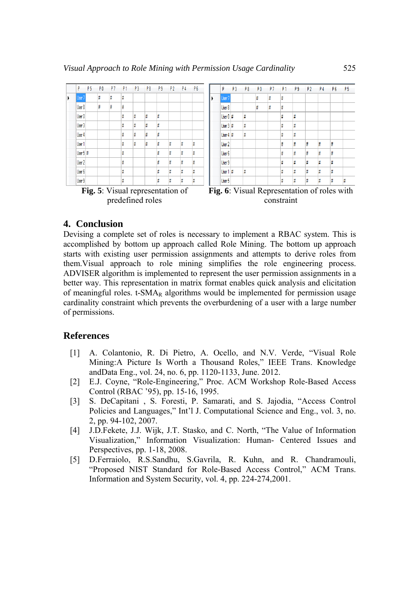| p.               | <b>P5</b> | P O | P7                               | P1 | P3 | P8 | P9 | P <sub>2</sub> | <b>P4</b> | P <sub>6</sub> | p                                                         | P <sub>3</sub> | P8 | P O | P <sub>7</sub> | P1 | P9 | P <sub>2</sub> | P <sub>4</sub> | P <sub>6</sub> | P <sub>5</sub> |
|------------------|-----------|-----|----------------------------------|----|----|----|----|----------------|-----------|----------------|-----------------------------------------------------------|----------------|----|-----|----------------|----|----|----------------|----------------|----------------|----------------|
| User 7           |           | Ħ   | Ħ                                | Ë  |    |    |    |                |           |                | User 7                                                    |                |    | Ħ   | Ħ              | #  |    |                |                |                |                |
| User 8           |           | Ħ   | Ħ                                | Ë  |    |    |    |                |           |                | User 8                                                    |                |    | Ħ   | Ħ              | Ħ  |    |                |                |                |                |
| User 0           |           |     |                                  | Ë  | Ħ  | Ë  | Ħ  |                |           |                | User 0 #                                                  |                | Ħ  |     |                | #  | Ħ  |                |                |                |                |
| User 3           |           |     |                                  | Ë  | Ħ  | Ë  | Ħ  |                |           |                | User 3 #                                                  |                | #  |     |                | #  | Ħ  |                |                |                |                |
| User 4           |           |     |                                  | Ë  | Ħ  | Ë  | #  |                |           |                | User 4 #                                                  |                | Ħ  |     |                | Ħ  | Ħ  |                |                |                |                |
| User 1           |           |     |                                  | Ë  | Ħ  | Þ  | Ħ  | #              | #         | Ħ              | User 2                                                    |                |    |     |                | Ħ  | #  | Ħ              | Ħ              | Ħ              |                |
| User 5 #         |           |     |                                  | Ë  |    |    | Ħ  | Ë              | #         | Ö              | User 6                                                    |                |    |     |                | Ħ  | #  | #              | Ħ              | Ħ              |                |
| User 2           |           |     |                                  | Ë  |    |    | Ħ  | Ë              | #         | Ë              | User 9                                                    |                |    |     |                | Ö  | Ħ  | #              | Ħ              | #              |                |
| User 6           |           |     |                                  | ij |    |    | Ħ  | t              | #         | Ħ              | User 1 #                                                  |                | Ħ  |     |                |    |    | Ħ              | Ħ              | #              |                |
| User 9           |           |     |                                  | Ö  |    |    | Ħ  | Ë              | Ħ         | Ħ              | User 5                                                    |                |    |     |                | Ħ  | Ħ  | Ħ              | Ħ              | Ħ              | Ħ              |
|                  |           |     | Fig. 5: Visual representation of |    |    |    |    |                |           |                |                                                           |                |    |     |                |    |    |                |                |                |                |
| predefined roles |           |     |                                  |    |    |    |    |                |           |                | Fig. 6: Visual Representation of roles with<br>constraint |                |    |     |                |    |    |                |                |                |                |

# **4. Conclusion**

Devising a complete set of roles is necessary to implement a RBAC system. This is accomplished by bottom up approach called Role Mining. The bottom up approach starts with existing user permission assignments and attempts to derive roles from them.Visual approach to role mining simplifies the role engineering process. ADVISER algorithm is implemented to represent the user permission assignments in a better way. This representation in matrix format enables quick analysis and elicitation of meaningful roles.  $t$ -SMA<sub>R</sub> algorithms would be implemented for permission usage cardinality constraint which prevents the overburdening of a user with a large number of permissions.

# **References**

- [1] A. Colantonio, R. Di Pietro, A. Ocello, and N.V. Verde, "Visual Role Mining:A Picture Is Worth a Thousand Roles," IEEE Trans. Knowledge andData Eng., vol. 24, no. 6, pp. 1120-1133, June. 2012.
- [2] E.J. Coyne, "Role-Engineering," Proc. ACM Workshop Role-Based Access Control (RBAC '95), pp. 15-16, 1995.
- [3] S. DeCapitani , S. Foresti, P. Samarati, and S. Jajodia, "Access Control Policies and Languages," Int'l J. Computational Science and Eng., vol. 3, no. 2, pp. 94-102, 2007.
- [4] J.D.Fekete, J.J. Wijk, J.T. Stasko, and C. North, "The Value of Information Visualization," Information Visualization: Human- Centered Issues and Perspectives, pp. 1-18, 2008.
- [5] D.Ferraiolo, R.S.Sandhu, S.Gavrila, R. Kuhn, and R. Chandramouli, "Proposed NIST Standard for Role-Based Access Control," ACM Trans. Information and System Security, vol. 4, pp. 224-274,2001.